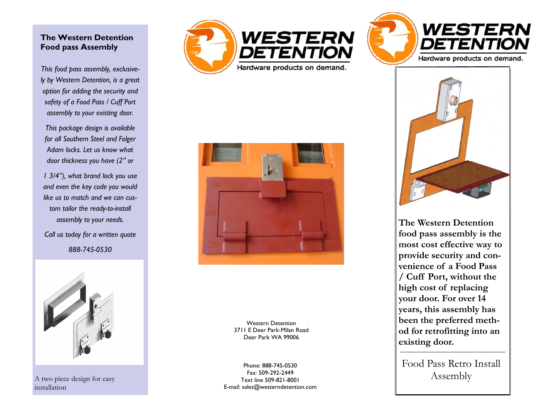## **The Western Detention Food pass Assembly**

*This food pass assembly, exclusive ly by Western Detention, is a great option for adding the security and safety of a Food Pass / Cuff Port assembly to your existing door.* 

*This package design is available for all Southern Steel and Folger Adam locks. Let us know what door thickness you have (2" or* 

*1 3/4"), what brand lock you use and even the key code you would like us to match and we can cus tom tailor the ready-to -install assembly to your needs.* 

*Call us today for a written quote 888 -745 -0530* 



A two piece design for easy installation







**The Western Detention food pass assembly is the most cost effective way to provide security and convenience of a Food Pass / Cuff Port, without the high cost of replacing your door. For over 14 years, this assembly has been the preferred method for retrofitting into an existing door.**

Food Pass Retro Install Assembly



Western Detention 3711 E Deer Park -Milan Road Deer Park WA 99006

Phone: 888 -745 -0530 Fax: 509 -292 -2449 Text line 509 -821 -8001 E -mail: sales@westerndetention.com